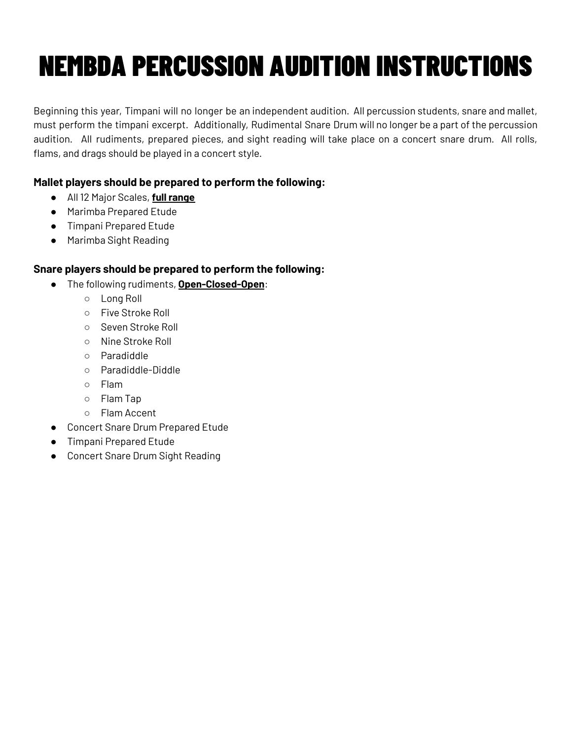## NEMBDA PERCUSSION AUDITION INSTRUCTIONS

Beginning this year, Timpani will no longer be an independent audition. All percussion students, snare and mallet, must perform the timpani excerpt. Additionally, Rudimental Snare Drum will no longer be a part of the percussion audition. All rudiments, prepared pieces, and sight reading will take place on a concert snare drum. All rolls, flams, and drags should be played in a concert style.

## **Mallet players should be prepared to perform the following:**

- All 12 Major Scales, **full range**
- Marimba Prepared Etude
- Timpani Prepared Etude
- Marimba Sight Reading

## **Snare players should be prepared to perform the following:**

- The following rudiments, **Open-Closed-Open**:
	- Long Roll
	- Five Stroke Roll
	- Seven Stroke Roll
	- Nine Stroke Roll
	- Paradiddle
	- Paradiddle-Diddle
	- Flam
	- Flam Tap
	- Flam Accent
- Concert Snare Drum Prepared Etude
- Timpani Prepared Etude
- Concert Snare Drum Sight Reading